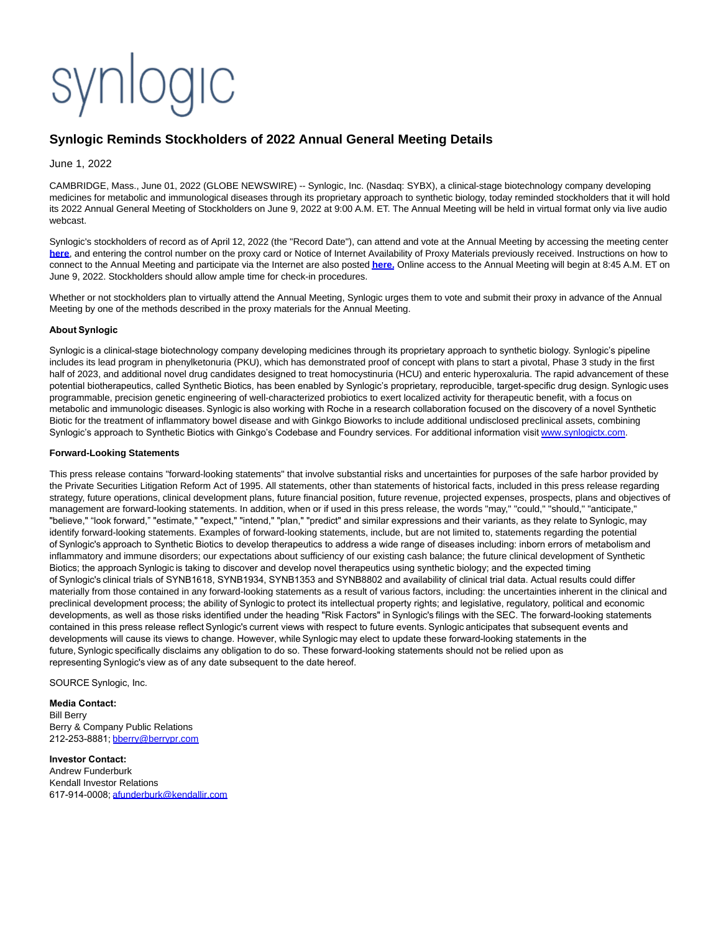## synlogic

## **Synlogic Reminds Stockholders of 2022 Annual General Meeting Details**

June 1, 2022

CAMBRIDGE, Mass., June 01, 2022 (GLOBE NEWSWIRE) -- Synlogic, Inc. (Nasdaq: SYBX), a clinical-stage biotechnology company developing medicines for metabolic and immunological diseases through its proprietary approach to synthetic biology, today reminded stockholders that it will hold its 2022 Annual General Meeting of Stockholders on June 9, 2022 at 9:00 A.M. ET. The Annual Meeting will be held in virtual format only via live audio webcast.

Synlogic's stockholders of record as of April 12, 2022 (the "Record Date"), can attend and vote at the Annual Meeting by accessing the meeting center **[here](https://www.globenewswire.com/Tracker?data=Z48M-iBhquMEfbAKvYe4GsC8Iv_nopXLR6mEa4DPU3qn8k235DoUXxylGSEpicvx5T6IT6FxgS9hfvz4MHq8LSj1DFi5kYo0Po_2n-a9qRI=)**, and entering the control number on the proxy card or Notice of Internet Availability of Proxy Materials previously received. Instructions on how to connect to the Annual Meeting and participate via the Internet are also posted **[here.](https://www.globenewswire.com/Tracker?data=tUM8MwfedXbczA8fHXs8k28xsCpHhTf0oNIp5O61meUatTnyy19VHV3ueoL3h18eC86TCrxznQRyIyAviVyXXXy_CSLbNo1BJ4JMFgVXE18=)** Online access to the Annual Meeting will begin at 8:45 A.M. ET on June 9, 2022. Stockholders should allow ample time for check-in procedures.

Whether or not stockholders plan to virtually attend the Annual Meeting, Synlogic urges them to vote and submit their proxy in advance of the Annual Meeting by one of the methods described in the proxy materials for the Annual Meeting.

## **About Synlogic**

Synlogic is a clinical-stage biotechnology company developing medicines through its proprietary approach to synthetic biology. Synlogic's pipeline includes its lead program in phenylketonuria (PKU), which has demonstrated proof of concept with plans to start a pivotal, Phase 3 study in the first half of 2023, and additional novel drug candidates designed to treat homocystinuria (HCU) and enteric hyperoxaluria. The rapid advancement of these potential biotherapeutics, called Synthetic Biotics, has been enabled by Synlogic's proprietary, reproducible, target-specific drug design. Synlogic uses programmable, precision genetic engineering of well-characterized probiotics to exert localized activity for therapeutic benefit, with a focus on metabolic and immunologic diseases. Synlogic is also working with Roche in a research collaboration focused on the discovery of a novel Synthetic Biotic for the treatment of inflammatory bowel disease and with Ginkgo Bioworks to include additional undisclosed preclinical assets, combining Synlogic's approach to Synthetic Biotics with Ginkgo's Codebase and Foundry services. For additional information visit [www.synlogictx.com.](https://www.globenewswire.com/Tracker?data=A3d7wAjaGQ0s3coVLHNarJGcTtR9f0gj6nxCtXe4ux3epuwZfixQeIwoDWve0TveIQI0NTL7q0POo8n2cm94yGkhIguWQSYLZhyjRc2nrcc=)

## **Forward-Looking Statements**

This press release contains "forward-looking statements" that involve substantial risks and uncertainties for purposes of the safe harbor provided by the Private Securities Litigation Reform Act of 1995. All statements, other than statements of historical facts, included in this press release regarding strategy, future operations, clinical development plans, future financial position, future revenue, projected expenses, prospects, plans and objectives of management are forward-looking statements. In addition, when or if used in this press release, the words "may," "could," "should," "anticipate," "believe," "look forward," "estimate," "expect," "intend," "plan," "predict" and similar expressions and their variants, as they relate to Synlogic, may identify forward-looking statements. Examples of forward-looking statements, include, but are not limited to, statements regarding the potential of Synlogic's approach to Synthetic Biotics to develop therapeutics to address a wide range of diseases including: inborn errors of metabolism and inflammatory and immune disorders; our expectations about sufficiency of our existing cash balance; the future clinical development of Synthetic Biotics; the approach Synlogic is taking to discover and develop novel therapeutics using synthetic biology; and the expected timing of Synlogic's clinical trials of SYNB1618, SYNB1934, SYNB1353 and SYNB8802 and availability of clinical trial data. Actual results could differ materially from those contained in any forward-looking statements as a result of various factors, including: the uncertainties inherent in the clinical and preclinical development process; the ability of Synlogic to protect its intellectual property rights; and legislative, regulatory, political and economic developments, as well as those risks identified under the heading "Risk Factors" in Synlogic's filings with the SEC. The forward-looking statements contained in this press release reflect Synlogic's current views with respect to future events. Synlogic anticipates that subsequent events and developments will cause its views to change. However, while Synlogic may elect to update these forward-looking statements in the future, Synlogic specifically disclaims any obligation to do so. These forward-looking statements should not be relied upon as representing Synlogic's view as of any date subsequent to the date hereof.

SOURCE Synlogic, Inc.

**Media Contact:** Bill Berry Berry & Company Public Relations 212-253-8881; [bberry@berrypr.com](https://www.globenewswire.com/Tracker?data=uyuzFpfFoSSVD0h_PASc7eI335Hj4Jd9CRoJ1saxBXF1DGXAWFP80xqcgo054gnQEy6VY7g1BcjfK7wHiPh-jGPL2uN5hDUejztlrdL5328=)

**Investor Contact:** Andrew Funderburk Kendall Investor Relations 617-914-0008; [afunderburk@kendallir.com](https://www.globenewswire.com/Tracker?data=ywukH-cKvvJ5MqzSPz9TW-NROnulqZzTGnqrNN_zbEWTCnkSHaUyRoGzNjb0BvObf1jt1vgGf4zJPi2pmTasstdZd4e0yjoQWxmewVncN80=)